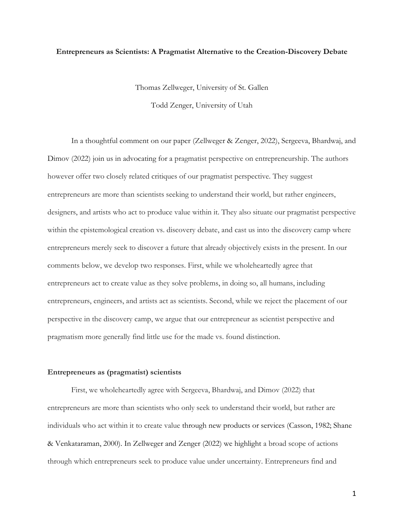## **Entrepreneurs as Scientists: A Pragmatist Alternative to the Creation-Discovery Debate**

Thomas Zellweger, University of St. Gallen

Todd Zenger, University of Utah

In a thoughtful comment on our paper (Zellweger & Zenger, 2022), Sergeeva, Bhardwaj, and Dimov (2022) join us in advocating for a pragmatist perspective on entrepreneurship. The authors however offer two closely related critiques of our pragmatist perspective. They suggest entrepreneurs are more than scientists seeking to understand their world, but rather engineers, designers, and artists who act to produce value within it. They also situate our pragmatist perspective within the epistemological creation vs. discovery debate, and cast us into the discovery camp where entrepreneurs merely seek to discover a future that already objectively exists in the present. In our comments below, we develop two responses. First, while we wholeheartedly agree that entrepreneurs act to create value as they solve problems, in doing so, all humans, including entrepreneurs, engineers, and artists act as scientists. Second, while we reject the placement of our perspective in the discovery camp, we argue that our entrepreneur as scientist perspective and pragmatism more generally find little use for the made vs. found distinction.

## **Entrepreneurs as (pragmatist) scientists**

First, we wholeheartedly agree with Sergeeva, Bhardwaj, and Dimov (2022) that entrepreneurs are more than scientists who only seek to understand their world, but rather are individuals who act within it to create value through new products or services (Casson, 1982; Shane & Venkataraman, 2000). In Zellweger and Zenger (2022) we highlight a broad scope of actions through which entrepreneurs seek to produce value under uncertainty. Entrepreneurs find and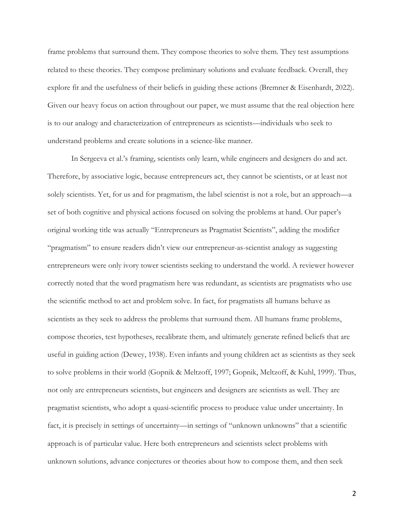frame problems that surround them. They compose theories to solve them. They test assumptions related to these theories. They compose preliminary solutions and evaluate feedback. Overall, they explore fit and the usefulness of their beliefs in guiding these actions (Bremner & Eisenhardt, 2022). Given our heavy focus on action throughout our paper, we must assume that the real objection here is to our analogy and characterization of entrepreneurs as scientists—individuals who seek to understand problems and create solutions in a science-like manner.

In Sergeeva et al.'s framing, scientists only learn, while engineers and designers do and act. Therefore, by associative logic, because entrepreneurs act, they cannot be scientists, or at least not solely scientists. Yet, for us and for pragmatism, the label scientist is not a role, but an approach—a set of both cognitive and physical actions focused on solving the problems at hand. Our paper's original working title was actually "Entrepreneurs as Pragmatist Scientists", adding the modifier "pragmatism" to ensure readers didn't view our entrepreneur-as-scientist analogy as suggesting entrepreneurs were only ivory tower scientists seeking to understand the world. A reviewer however correctly noted that the word pragmatism here was redundant, as scientists are pragmatists who use the scientific method to act and problem solve. In fact, for pragmatists all humans behave as scientists as they seek to address the problems that surround them. All humans frame problems, compose theories, test hypotheses, recalibrate them, and ultimately generate refined beliefs that are useful in guiding action (Dewey, 1938). Even infants and young children act as scientists as they seek to solve problems in their world (Gopnik & Meltzoff, 1997; Gopnik, Meltzoff, & Kuhl, 1999). Thus, not only are entrepreneurs scientists, but engineers and designers are scientists as well. They are pragmatist scientists, who adopt a quasi-scientific process to produce value under uncertainty. In fact, it is precisely in settings of uncertainty—in settings of "unknown unknowns" that a scientific approach is of particular value. Here both entrepreneurs and scientists select problems with unknown solutions, advance conjectures or theories about how to compose them, and then seek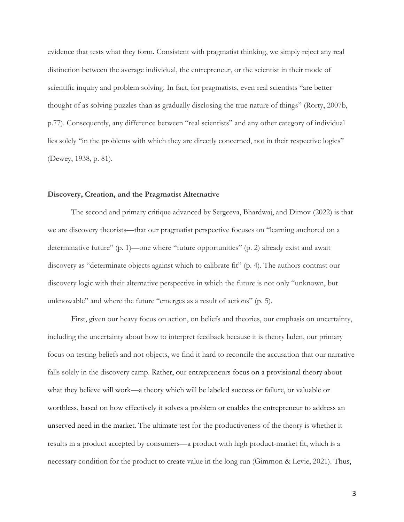evidence that tests what they form. Consistent with pragmatist thinking, we simply reject any real distinction between the average individual, the entrepreneur, or the scientist in their mode of scientific inquiry and problem solving. In fact, for pragmatists, even real scientists "are better thought of as solving puzzles than as gradually disclosing the true nature of things" (Rorty, 2007b, p.77). Consequently, any difference between "real scientists" and any other category of individual lies solely "in the problems with which they are directly concerned, not in their respective logics" (Dewey, 1938, p. 81).

#### **Discovery, Creation, and the Pragmatist Alternativ**e

The second and primary critique advanced by Sergeeva, Bhardwaj, and Dimov (2022) is that we are discovery theorists—that our pragmatist perspective focuses on "learning anchored on a determinative future" (p. 1)—one where "future opportunities" (p. 2) already exist and await discovery as "determinate objects against which to calibrate fit" (p. 4). The authors contrast our discovery logic with their alternative perspective in which the future is not only "unknown, but unknowable" and where the future "emerges as a result of actions" (p. 5).

First, given our heavy focus on action, on beliefs and theories, our emphasis on uncertainty, including the uncertainty about how to interpret feedback because it is theory laden, our primary focus on testing beliefs and not objects, we find it hard to reconcile the accusation that our narrative falls solely in the discovery camp. Rather, our entrepreneurs focus on a provisional theory about what they believe will work—a theory which will be labeled success or failure, or valuable or worthless, based on how effectively it solves a problem or enables the entrepreneur to address an unserved need in the market. The ultimate test for the productiveness of the theory is whether it results in a product accepted by consumers—a product with high product-market fit, which is a necessary condition for the product to create value in the long run (Gimmon & Levie, 2021). Thus,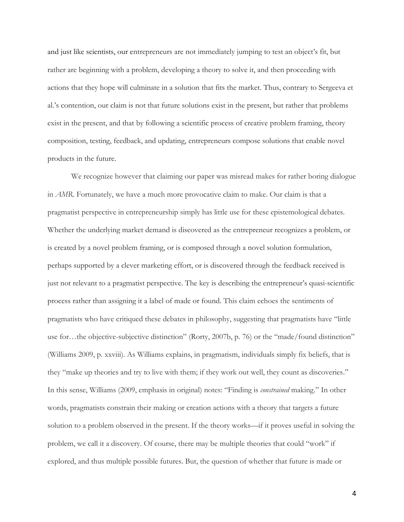and just like scientists, our entrepreneurs are not immediately jumping to test an object's fit, but rather are beginning with a problem, developing a theory to solve it, and then proceeding with actions that they hope will culminate in a solution that fits the market. Thus, contrary to Sergeeva et al.'s contention, our claim is not that future solutions exist in the present, but rather that problems exist in the present, and that by following a scientific process of creative problem framing, theory composition, testing, feedback, and updating, entrepreneurs compose solutions that enable novel products in the future.

We recognize however that claiming our paper was misread makes for rather boring dialogue in *AMR*. Fortunately, we have a much more provocative claim to make. Our claim is that a pragmatist perspective in entrepreneurship simply has little use for these epistemological debates. Whether the underlying market demand is discovered as the entrepreneur recognizes a problem, or is created by a novel problem framing, or is composed through a novel solution formulation, perhaps supported by a clever marketing effort, or is discovered through the feedback received is just not relevant to a pragmatist perspective. The key is describing the entrepreneur's quasi-scientific process rather than assigning it a label of made or found. This claim echoes the sentiments of pragmatists who have critiqued these debates in philosophy, suggesting that pragmatists have "little use for...the objective-subjective distinction" (Rorty, 2007b, p. 76) or the "made/found distinction" (Williams 2009, p. xxviii). As Williams explains, in pragmatism, individuals simply fix beliefs, that is they "make up theories and try to live with them; if they work out well, they count as discoveries." In this sense, Williams (2009, emphasis in original) notes: "Finding is *constrained* making." In other words, pragmatists constrain their making or creation actions with a theory that targets a future solution to a problem observed in the present. If the theory works—if it proves useful in solving the problem, we call it a discovery. Of course, there may be multiple theories that could "work" if explored, and thus multiple possible futures. But, the question of whether that future is made or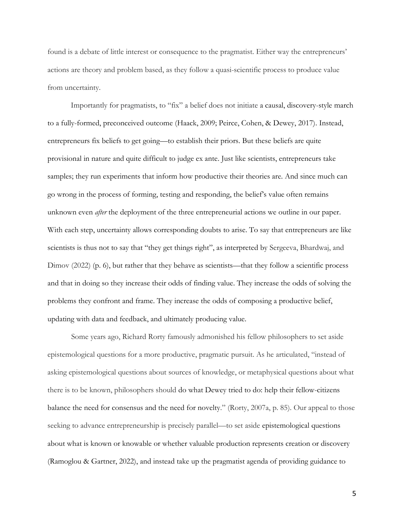found is a debate of little interest or consequence to the pragmatist. Either way the entrepreneurs' actions are theory and problem based, as they follow a quasi-scientific process to produce value from uncertainty.

Importantly for pragmatists, to "fix" a belief does not initiate a causal, discovery-style march to a fully-formed, preconceived outcome (Haack, 2009; Peirce, Cohen, & Dewey, 2017). Instead, entrepreneurs fix beliefs to get going—to establish their priors. But these beliefs are quite provisional in nature and quite difficult to judge ex ante. Just like scientists, entrepreneurs take samples; they run experiments that inform how productive their theories are. And since much can go wrong in the process of forming, testing and responding, the belief's value often remains unknown even *after* the deployment of the three entrepreneurial actions we outline in our paper. With each step, uncertainty allows corresponding doubts to arise. To say that entrepreneurs are like scientists is thus not to say that "they get things right", as interpreted by Sergeeva, Bhardwaj, and Dimov (2022) (p. 6), but rather that they behave as scientists—that they follow a scientific process and that in doing so they increase their odds of finding value. They increase the odds of solving the problems they confront and frame. They increase the odds of composing a productive belief, updating with data and feedback, and ultimately producing value.

Some years ago, Richard Rorty famously admonished his fellow philosophers to set aside epistemological questions for a more productive, pragmatic pursuit. As he articulated, "instead of asking epistemological questions about sources of knowledge, or metaphysical questions about what there is to be known, philosophers should do what Dewey tried to do: help their fellow-citizens balance the need for consensus and the need for novelty." (Rorty, 2007a, p. 85). Our appeal to those seeking to advance entrepreneurship is precisely parallel—to set aside epistemological questions about what is known or knowable or whether valuable production represents creation or discovery (Ramoglou & Gartner, 2022), and instead take up the pragmatist agenda of providing guidance to

5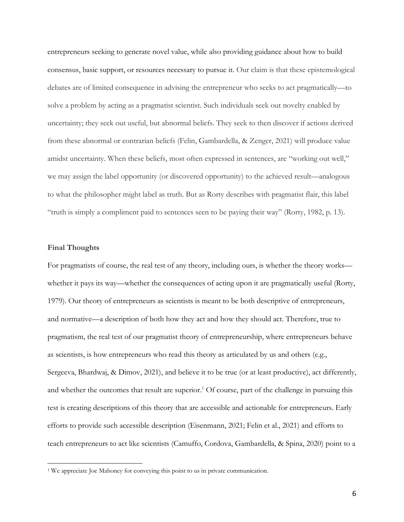entrepreneurs seeking to generate novel value, while also providing guidance about how to build consensus, basic support, or resources necessary to pursue it. Our claim is that these epistemological debates are of limited consequence in advising the entrepreneur who seeks to act pragmatically—to solve a problem by acting as a pragmatist scientist. Such individuals seek out novelty enabled by uncertainty; they seek out useful, but abnormal beliefs. They seek to then discover if actions derived from these abnormal or contrarian beliefs (Felin, Gambardella, & Zenger, 2021) will produce value amidst uncertainty. When these beliefs, most often expressed in sentences, are "working out well," we may assign the label opportunity (or discovered opportunity) to the achieved result—analogous to what the philosopher might label as truth. But as Rorty describes with pragmatist flair, this label "truth is simply a compliment paid to sentences seen to be paying their way" (Rorty, 1982, p. 13).

### **Final Thoughts**

For pragmatists of course, the real test of any theory, including ours, is whether the theory works whether it pays its way—whether the consequences of acting upon it are pragmatically useful (Rorty, 1979). Our theory of entrepreneurs as scientists is meant to be both descriptive of entrepreneurs, and normative—a description of both how they act and how they should act. Therefore, true to pragmatism, the real test of our pragmatist theory of entrepreneurship, where entrepreneurs behave as scientists, is how entrepreneurs who read this theory as articulated by us and others (e.g., Sergeeva, Bhardwaj, & Dimov, 2021), and believe it to be true (or at least productive), act differently, and whether the outcomes that result are superior.<sup>1</sup> Of course, part of the challenge in pursuing this test is creating descriptions of this theory that are accessible and actionable for entrepreneurs. Early efforts to provide such accessible description (Eisenmann, 2021; Felin et al., 2021) and efforts to teach entrepreneurs to act like scientists (Camuffo, Cordova, Gambardella, & Spina, 2020) point to a

<sup>&</sup>lt;sup>1</sup> We appreciate Joe Mahoney for conveying this point to us in private communication.